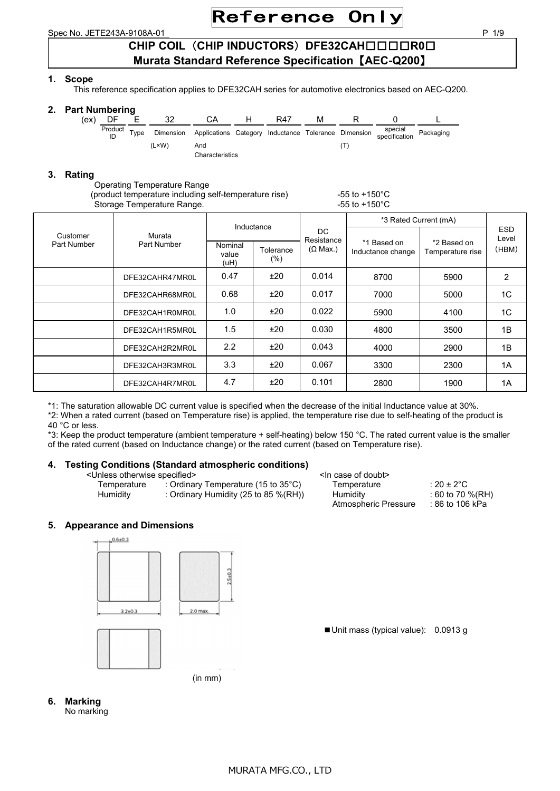Spec No. JETE243A-9108A-01 P 1/9

## **CHIP COIL**(**CHIP INDUCTORS**)**DFE32CAH**□□□□**R0**□ **Murata Standard Reference Specification**【**AEC-Q200**】

## **1. Scope**

This reference specification applies to DFE32CAH series for automotive electronics based on AEC-Q200.

## **2. Part Numbering**

| ex) | .       |      |       |                                                                | R47 | м |                          |           |  |
|-----|---------|------|-------|----------------------------------------------------------------|-----|---|--------------------------|-----------|--|
|     | Product | Type |       | Dimension Applications Category Inductance Tolerance Dimension |     |   | special<br>specification | Packaging |  |
|     |         |      | (L×W) | And                                                            |     |   |                          |           |  |
|     |         |      |       | Characteristics                                                |     |   |                          |           |  |

## **3. Rating**

Operating Temperature Range

(product temperature including self-temperature rise)  $-55$  to +150 $^{\circ}$ C Storage Temperature Range.  $\sim$  55 to +150°C.

|             |                 | Inductance               |                     | DC.<br>Resistance | *3 Rated Current (mA)            |                                 |                     |
|-------------|-----------------|--------------------------|---------------------|-------------------|----------------------------------|---------------------------------|---------------------|
| Customer    | Murata          |                          |                     |                   |                                  |                                 | <b>ESD</b><br>Level |
| Part Number | Part Number     | Nominal<br>value<br>(uH) | Tolerance<br>$(\%)$ | $(\Omega$ Max.)   | *1 Based on<br>Inductance change | *2 Based on<br>Temperature rise | (HBM)               |
|             | DFE32CAHR47MR0L | 0.47                     | ±20                 | 0.014             | 8700                             | 5900                            | 2                   |
|             | DFE32CAHR68MR0L | 0.68                     | ±20                 | 0.017             | 7000                             | 5000                            | 1 <sup>C</sup>      |
|             | DFE32CAH1R0MR0L | 1.0                      | ±20                 | 0.022             | 5900                             | 4100                            | 1C                  |
|             | DFE32CAH1R5MR0L | 1.5                      | ±20                 | 0.030             | 4800                             | 3500                            | 1B                  |
|             | DFE32CAH2R2MR0L | $2.2^{\circ}$            | ±20                 | 0.043             | 4000                             | 2900                            | 1B                  |
|             | DFE32CAH3R3MR0L | 3.3                      | ±20                 | 0.067             | 3300                             | 2300                            | 1A                  |
|             | DFE32CAH4R7MR0L | 4.7                      | ±20                 | 0.101             | 2800                             | 1900                            | 1A                  |

\*1: The saturation allowable DC current value is specified when the decrease of the initial Inductance value at 30%.

\*2: When a rated current (based on Temperature rise) is applied, the temperature rise due to self-heating of the product is 40 °C or less.

\*3: Keep the product temperature (ambient temperature + self-heating) below 150 °C. The rated current value is the smaller of the rated current (based on Inductance change) or the rated current (based on Temperature rise).

## **4. Testing Conditions (Standard atmospheric conditions)**

<Unless otherwise specified>

| <unless otherwise="" specified=""></unless> |                                                                                       | <ln case="" doubt="" of=""></ln>                |                                                              |
|---------------------------------------------|---------------------------------------------------------------------------------------|-------------------------------------------------|--------------------------------------------------------------|
| Temperature<br>Humidity                     | : Ordinary Temperature (15 to $35^{\circ}$ C)<br>: Ordinary Humidity (25 to 85 %(RH)) | Temperature<br>Humidity<br>Atmospheric Pressure | : 20 ± 2 $^{\circ}$ C<br>$:60$ to 70 %(RH)<br>:86 to 106 kPa |

■ Unit mass (typical value): 0.0913 g

## **5. Appearance and Dimensions**



(in mm)

**6. Marking** 

No marking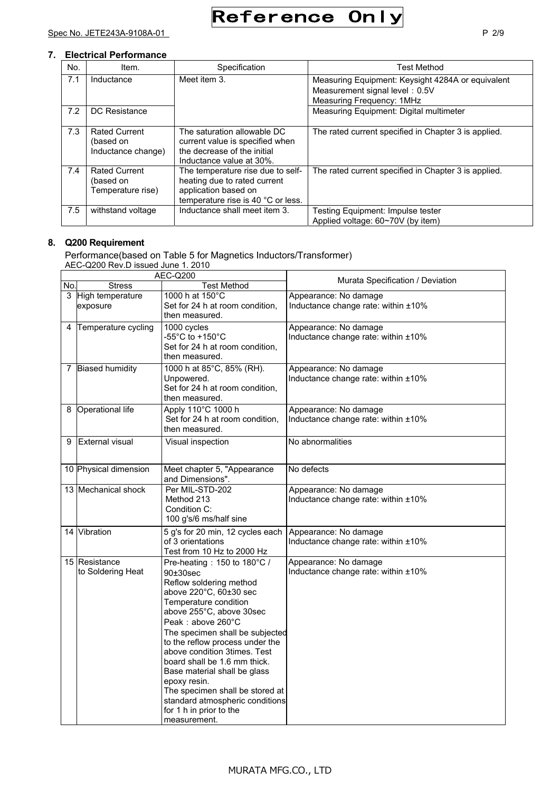| No. | Item.                                                   | Specification                                                                                                                   | <b>Test Method</b>                                                                                               |
|-----|---------------------------------------------------------|---------------------------------------------------------------------------------------------------------------------------------|------------------------------------------------------------------------------------------------------------------|
| 7.1 | Inductance                                              | Meet item 3.                                                                                                                    | Measuring Equipment: Keysight 4284A or equivalent<br>Measurement signal level: 0.5V<br>Measuring Frequency: 1MHz |
| 7.2 | DC Resistance                                           |                                                                                                                                 | Measuring Equipment: Digital multimeter                                                                          |
| 7.3 | <b>Rated Current</b><br>(based on<br>Inductance change) | The saturation allowable DC<br>current value is specified when<br>the decrease of the initial<br>Inductance value at 30%.       | The rated current specified in Chapter 3 is applied.                                                             |
| 7.4 | <b>Rated Current</b><br>(based on<br>Temperature rise)  | The temperature rise due to self-<br>heating due to rated current<br>application based on<br>temperature rise is 40 °C or less. | The rated current specified in Chapter 3 is applied.                                                             |
| 7.5 | withstand voltage                                       | Inductance shall meet item 3.                                                                                                   | Testing Equipment: Impulse tester<br>Applied voltage: 60~70V (by item)                                           |

## **8. Q200 Requirement**

Performance(based on Table 5 for Magnetics Inductors/Transformer) AEC-Q200 Rev.D issued June 1. 2010

|                |                                    | <b>AEC-Q200</b>                                                                                                                                                                                                                                                                                                                                                                                                                                                               |                                                              |
|----------------|------------------------------------|-------------------------------------------------------------------------------------------------------------------------------------------------------------------------------------------------------------------------------------------------------------------------------------------------------------------------------------------------------------------------------------------------------------------------------------------------------------------------------|--------------------------------------------------------------|
| No.            | <b>Stress</b>                      | Test Method                                                                                                                                                                                                                                                                                                                                                                                                                                                                   | Murata Specification / Deviation                             |
| $\overline{3}$ | High temperature<br>exposure       | 1000 h at 150°C<br>Set for 24 h at room condition,<br>then measured.                                                                                                                                                                                                                                                                                                                                                                                                          | Appearance: No damage<br>Inductance change rate: within ±10% |
| 4              | Temperature cycling                | 1000 cycles<br>-55°C to +150°C<br>Set for 24 h at room condition,<br>then measured.                                                                                                                                                                                                                                                                                                                                                                                           | Appearance: No damage<br>Inductance change rate: within ±10% |
|                | 7 Biased humidity                  | 1000 h at 85°C, 85% (RH).<br>Unpowered.<br>Set for 24 h at room condition,<br>then measured.                                                                                                                                                                                                                                                                                                                                                                                  | Appearance: No damage<br>Inductance change rate: within ±10% |
| 8              | Operational life                   | Apply 110°C 1000 h<br>Set for 24 h at room condition,<br>then measured.                                                                                                                                                                                                                                                                                                                                                                                                       | Appearance: No damage<br>Inductance change rate: within ±10% |
| 9              | <b>External visual</b>             | Visual inspection                                                                                                                                                                                                                                                                                                                                                                                                                                                             | No abnormalities                                             |
|                | 10 Physical dimension              | Meet chapter 5, "Appearance<br>and Dimensions".                                                                                                                                                                                                                                                                                                                                                                                                                               | No defects                                                   |
|                | 13 Mechanical shock                | Per MIL-STD-202<br>Method 213<br>Condition C:<br>100 g's/6 ms/half sine                                                                                                                                                                                                                                                                                                                                                                                                       | Appearance: No damage<br>Inductance change rate: within ±10% |
|                | 14 Vibration                       | 5 g's for 20 min, 12 cycles each<br>of 3 orientations<br>Test from 10 Hz to 2000 Hz                                                                                                                                                                                                                                                                                                                                                                                           | Appearance: No damage<br>Inductance change rate: within ±10% |
|                | 15 Resistance<br>to Soldering Heat | Pre-heating: 150 to 180°C /<br>90±30sec<br>Reflow soldering method<br>above 220°C, 60±30 sec<br>Temperature condition<br>above 255°C, above 30sec<br>Peak: above 260°C<br>The specimen shall be subjected<br>to the reflow process under the<br>above condition 3times. Test<br>board shall be 1.6 mm thick.<br>Base material shall be glass<br>epoxy resin.<br>The specimen shall be stored at<br>standard atmospheric conditions<br>for 1 h in prior to the<br>measurement. | Appearance: No damage<br>Inductance change rate: within ±10% |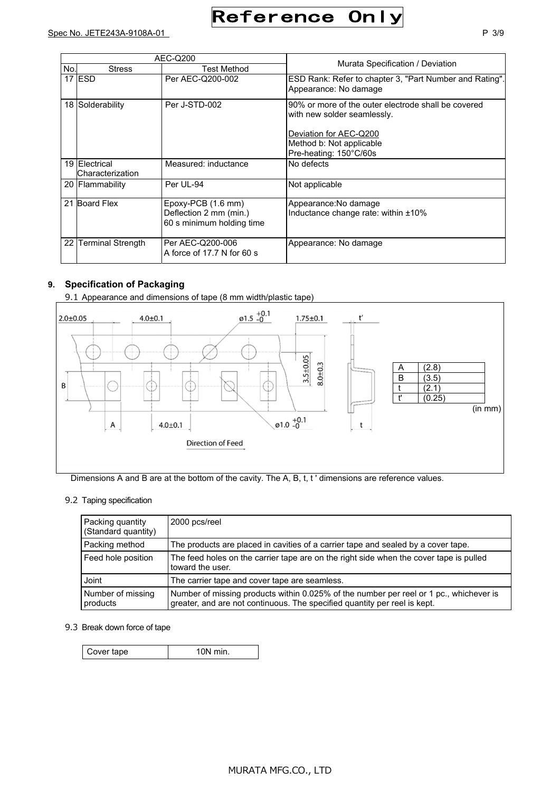|     |                                   | AEC-Q200                                                                   | Murata Specification / Deviation                                                                                                                                   |  |
|-----|-----------------------------------|----------------------------------------------------------------------------|--------------------------------------------------------------------------------------------------------------------------------------------------------------------|--|
| No. | <b>Stress</b>                     | <b>Test Method</b>                                                         |                                                                                                                                                                    |  |
|     | 17 IESD                           | Per AEC-Q200-002                                                           | ESD Rank: Refer to chapter 3, "Part Number and Rating".<br>Appearance: No damage                                                                                   |  |
|     | 18 Solderability                  | Per J-STD-002                                                              | 90% or more of the outer electrode shall be covered<br>with new solder seamlessly.<br>Deviation for AEC-Q200<br>Method b: Not applicable<br>Pre-heating: 150°C/60s |  |
|     | 19 Electrical<br>Characterization | Measured: inductance                                                       | No defects                                                                                                                                                         |  |
|     | 20 Flammability                   | Per UL-94                                                                  | Not applicable                                                                                                                                                     |  |
| 21  | <b>Board Flex</b>                 | $Epoxy-PCB(1.6 mm)$<br>Deflection 2 mm (min.)<br>60 s minimum holding time | Appearance: No damage<br>Inductance change rate: within ±10%                                                                                                       |  |
| 22  | <b>Terminal Strength</b>          | Per AEC-Q200-006<br>A force of 17.7 N for 60 s                             | Appearance: No damage                                                                                                                                              |  |

## **9. Specification of Packaging**

9.1 Appearance and dimensions of tape (8 mm width/plastic tape)



Dimensions A and B are at the bottom of the cavity. The A, B, t, t' dimensions are reference values.

### 9.2 Taping specification

| Packing quantity<br>(Standard quantity) | 2000 pcs/reel                                                                                                                                                       |
|-----------------------------------------|---------------------------------------------------------------------------------------------------------------------------------------------------------------------|
| Packing method                          | The products are placed in cavities of a carrier tape and sealed by a cover tape.                                                                                   |
| Feed hole position                      | The feed holes on the carrier tape are on the right side when the cover tape is pulled<br>toward the user.                                                          |
| Joint                                   | The carrier tape and cover tape are seamless.                                                                                                                       |
| Number of missing<br>products           | Number of missing products within 0.025% of the number per reel or 1 pc., whichever is<br>greater, and are not continuous. The specified quantity per reel is kept. |

#### 9.3 Break down force of tape

| Cover tape | $10N$ min. |
|------------|------------|
|------------|------------|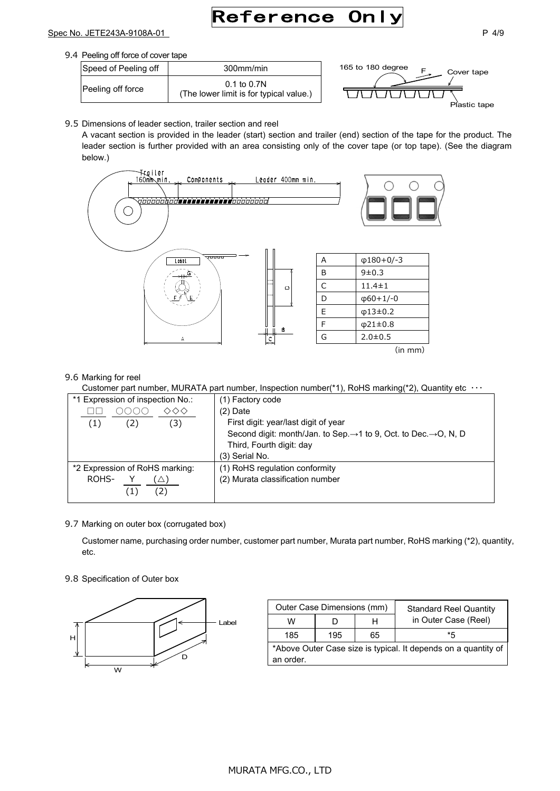# Reference Onl

### Spec No. JETE243A-9108A-01 P 4/9

| Speed of Peeling off | 300mm/min                                                  |
|----------------------|------------------------------------------------------------|
| Peeling off force    | $0.1$ to $0.7N$<br>(The lower limit is for typical value.) |



9.5 Dimensions of leader section, trailer section and reel

A vacant section is provided in the leader (start) section and trailer (end) section of the tape for the product. The leader section is further provided with an area consisting only of the cover tape (or top tape). (See the diagram below.)



#### 9.6 Marking for reel

Customer part number, MURATA part number, Inspection number(\*1), RoHS marking(\*2), Quantity etc ・・・

| *1 Expression of inspection No.:                             | (1) Factory code                                                                                                                                                  |
|--------------------------------------------------------------|-------------------------------------------------------------------------------------------------------------------------------------------------------------------|
| ◇◇<br>(1)<br>(2)<br>$\left(3\right)$                         | $(2)$ Date<br>First digit: year/last digit of year<br>Second digit: month/Jan. to Sep.→1 to 9, Oct. to Dec.→O, N, D<br>Third, Fourth digit: day<br>(3) Serial No. |
| *2 Expression of RoHS marking:<br>ROHS-<br>$\left( 2\right)$ | (1) RoHS regulation conformity<br>(2) Murata classification number                                                                                                |

#### 9.7 Marking on outer box (corrugated box)

Customer name, purchasing order number, customer part number, Murata part number, RoHS marking (\*2), quantity, etc.

#### 9.8 Specification of Outer box



| Outer Case Dimensions (mm)                                     |     |    | <b>Standard Reel Quantity</b> |  |  |
|----------------------------------------------------------------|-----|----|-------------------------------|--|--|
| w                                                              |     | н  | in Outer Case (Reel)          |  |  |
| 185                                                            | 195 | 65 | *5                            |  |  |
| *Above Outer Case size is typical. It depends on a quantity of |     |    |                               |  |  |
| an order.                                                      |     |    |                               |  |  |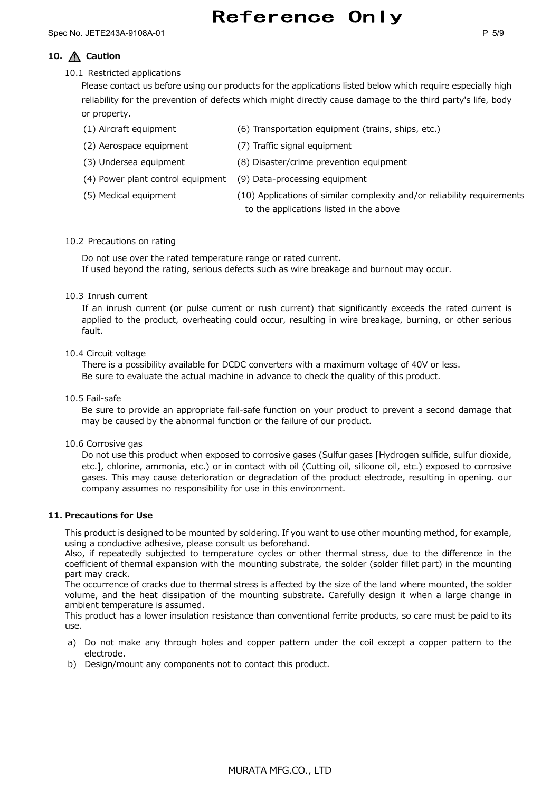# Reference Only

## 10.  $\bigwedge$  Caution

10.1 Restricted applications

Please contact us before using our products for the applications listed below which require especially high reliability for the prevention of defects which might directly cause damage to the third party's life, body or property.

- (1) Aircraft equipment (6) Transportation equipment (trains, ships, etc.)
- (2) Aerospace equipment (7) Traffic signal equipment
- (3) Undersea equipment (8) Disaster/crime prevention equipment
- (4) Power plant control equipment (9) Data-processing equipment
- 
- (5) Medical equipment (10) Applications of similar complexity and/or reliability requirements to the applications listed in the above

#### 10.2 Precautions on rating

Do not use over the rated temperature range or rated current. If used beyond the rating, serious defects such as wire breakage and burnout may occur.

#### 10.3 Inrush current

If an inrush current (or pulse current or rush current) that significantly exceeds the rated current is applied to the product, overheating could occur, resulting in wire breakage, burning, or other serious fault.

#### 10.4 Circuit voltage

There is a possibility available for DCDC converters with a maximum voltage of 40V or less. Be sure to evaluate the actual machine in advance to check the quality of this product.

#### 10.5 Fail-safe

Be sure to provide an appropriate fail-safe function on your product to prevent a second damage that may be caused by the abnormal function or the failure of our product.

#### 10.6 Corrosive gas

Do not use this product when exposed to corrosive gases (Sulfur gases [Hydrogen sulfide, sulfur dioxide, etc.], chlorine, ammonia, etc.) or in contact with oil (Cutting oil, silicone oil, etc.) exposed to corrosive gases. This may cause deterioration or degradation of the product electrode, resulting in opening. our company assumes no responsibility for use in this environment.

#### **11. Precautions for Use**

This product is designed to be mounted by soldering. If you want to use other mounting method, for example, using a conductive adhesive, please consult us beforehand.

Also, if repeatedly subjected to temperature cycles or other thermal stress, due to the difference in the coefficient of thermal expansion with the mounting substrate, the solder (solder fillet part) in the mounting part may crack.

The occurrence of cracks due to thermal stress is affected by the size of the land where mounted, the solder volume, and the heat dissipation of the mounting substrate. Carefully design it when a large change in ambient temperature is assumed.

This product has a lower insulation resistance than conventional ferrite products, so care must be paid to its use.

- a) Do not make any through holes and copper pattern under the coil except a copper pattern to the electrode.
- b) Design/mount any components not to contact this product.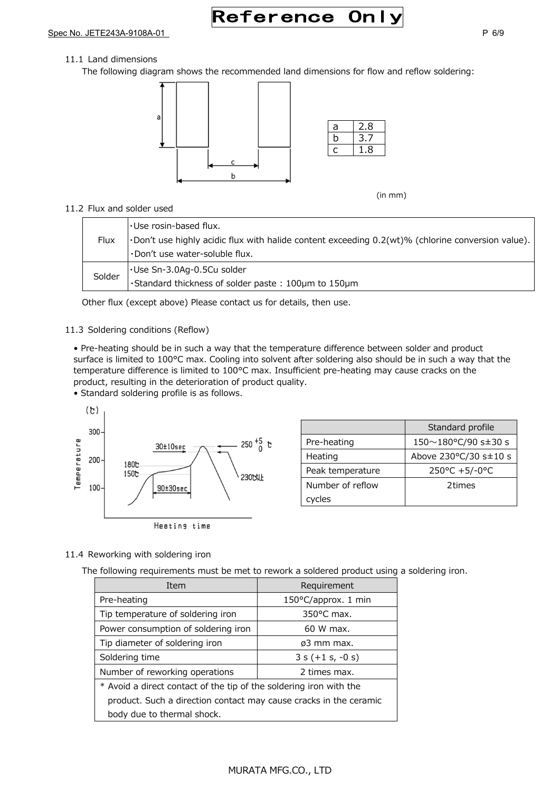Reference Only

Spec No. JETE243A-9108A-01 P 6/9

### 11.1 Land dimensions

The following diagram shows the recommended land dimensions for flow and reflow soldering:



(in mm)

#### 11.2 Flux and solder used

| Flux   | Use rosin-based flux.<br>. Don't use highly acidic flux with halide content exceeding 0.2(wt)% (chlorine conversion value).<br>Don't use water-soluble flux. |
|--------|--------------------------------------------------------------------------------------------------------------------------------------------------------------|
| Solder | Use Sn-3.0Ag-0.5Cu solder<br>•Standard thickness of solder paste: 100µm to 150µm                                                                             |

Other flux (except above) Please contact us for details, then use.

### 11.3 Soldering conditions (Reflow)

• Pre-heating should be in such a way that the temperature difference between solder and product surface is limited to 100°C max. Cooling into solvent after soldering also should be in such a way that the temperature difference is limited to 100°C max. Insufficient pre-heating may cause cracks on the product, resulting in the deterioration of product quality.

• Standard soldering profile is as follows.



|                  | Standard profile                      |
|------------------|---------------------------------------|
| Pre-heating      | $150 \sim 180$ °C/90 s $\pm$ 30 s     |
| Heating          | Above $230^{\circ}$ C/30 s $\pm$ 10 s |
| Peak temperature | 250°C +5/-0°C                         |
| Number of reflow | 2times                                |
| cycles           |                                       |

#### 11.4 Reworking with soldering iron

The following requirements must be met to rework a soldered product using a soldering iron.

| Item                                                               | Requirement          |  |
|--------------------------------------------------------------------|----------------------|--|
| Pre-heating                                                        | 150°C/approx. 1 min  |  |
| Tip temperature of soldering iron                                  | $350^{\circ}$ C max. |  |
| Power consumption of soldering iron                                | 60 W max.            |  |
| Tip diameter of soldering iron                                     | ø3 mm max.           |  |
| Soldering time                                                     | $3 s (+1 s, -0 s)$   |  |
| Number of reworking operations                                     | 2 times max.         |  |
| * Avoid a direct contact of the tip of the soldering iron with the |                      |  |
| product. Such a direction contact may cause cracks in the ceramic  |                      |  |
| body due to thermal shock.                                         |                      |  |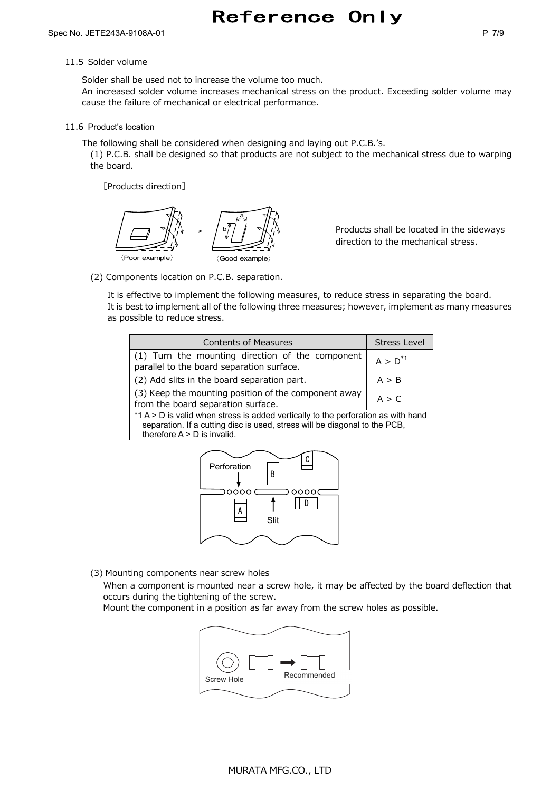# **Reference Onl**

#### 11.5 Solder volume

Solder shall be used not to increase the volume too much.

An increased solder volume increases mechanical stress on the product. Exceeding solder volume may cause the failure of mechanical or electrical performance.

11.6 Product's location

The following shall be considered when designing and laying out P.C.B.'s.

(1) P.C.B. shall be designed so that products are not subject to the mechanical stress due to warping the board.

[Products direction]



Products shall be located in the sideways direction to the mechanical stress.

(2) Components location on P.C.B. separation.

It is effective to implement the following measures, to reduce stress in separating the board. It is best to implement all of the following three measures; however, implement as many measures as possible to reduce stress.

| <b>Contents of Measures</b>                                                                                                                                                                      | <b>Stress Level</b> |  |
|--------------------------------------------------------------------------------------------------------------------------------------------------------------------------------------------------|---------------------|--|
| (1) Turn the mounting direction of the component<br>parallel to the board separation surface.                                                                                                    | $A > D^{*1}$        |  |
| (2) Add slits in the board separation part.                                                                                                                                                      | A > B               |  |
| (3) Keep the mounting position of the component away<br>from the board separation surface.                                                                                                       | A > C               |  |
| *1 A > D is valid when stress is added vertically to the perforation as with hand<br>separation. If a cutting disc is used, stress will be diagonal to the PCB,<br>therefore $A > D$ is invalid. |                     |  |



(3) Mounting components near screw holes

When a component is mounted near a screw hole, it may be affected by the board deflection that occurs during the tightening of the screw.

Mount the component in a position as far away from the screw holes as possible.

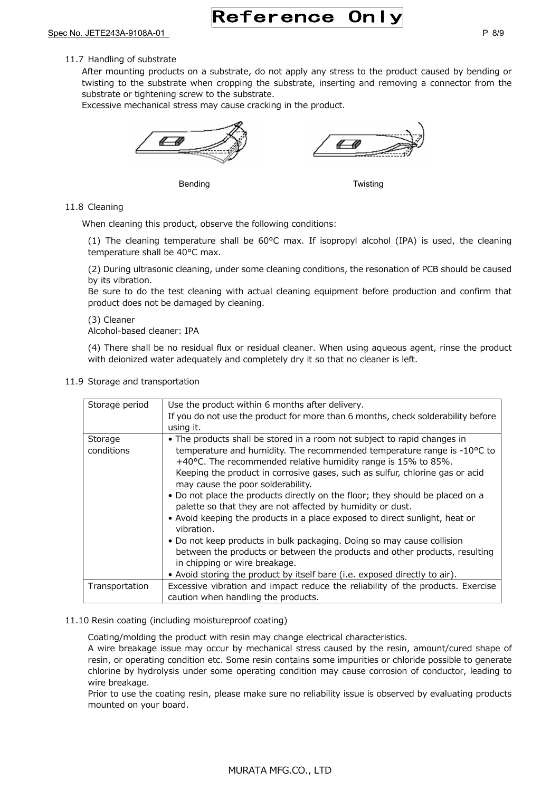Reference Onl

#### 11.7 Handling of substrate

After mounting products on a substrate, do not apply any stress to the product caused by bending or twisting to the substrate when cropping the substrate, inserting and removing a connector from the substrate or tightening screw to the substrate.

Excessive mechanical stress may cause cracking in the product.



Bending **Bending Bending** 

11.8 Cleaning

When cleaning this product, observe the following conditions:

(1) The cleaning temperature shall be 60°C max. If isopropyl alcohol (IPA) is used, the cleaning temperature shall be 40°C max.

(2) During ultrasonic cleaning, under some cleaning conditions, the resonation of PCB should be caused by its vibration.

Be sure to do the test cleaning with actual cleaning equipment before production and confirm that product does not be damaged by cleaning.

(3) Cleaner

Alcohol-based cleaner: IPA

(4) There shall be no residual flux or residual cleaner. When using aqueous agent, rinse the product with deionized water adequately and completely dry it so that no cleaner is left.

11.9 Storage and transportation

| Storage period        | Use the product within 6 months after delivery.<br>If you do not use the product for more than 6 months, check solderability before<br>using it.                                                                                                                                                                                                                                                                                                                                                                                                                                                                                                                                                                                                                                                                                                                       |
|-----------------------|------------------------------------------------------------------------------------------------------------------------------------------------------------------------------------------------------------------------------------------------------------------------------------------------------------------------------------------------------------------------------------------------------------------------------------------------------------------------------------------------------------------------------------------------------------------------------------------------------------------------------------------------------------------------------------------------------------------------------------------------------------------------------------------------------------------------------------------------------------------------|
| Storage<br>conditions | • The products shall be stored in a room not subject to rapid changes in<br>temperature and humidity. The recommended temperature range is $-10^{\circ}$ C to<br>+40°C. The recommended relative humidity range is 15% to 85%.<br>Keeping the product in corrosive gases, such as sulfur, chlorine gas or acid<br>may cause the poor solderability.<br>. Do not place the products directly on the floor; they should be placed on a<br>palette so that they are not affected by humidity or dust.<br>• Avoid keeping the products in a place exposed to direct sunlight, heat or<br>vibration.<br>• Do not keep products in bulk packaging. Doing so may cause collision<br>between the products or between the products and other products, resulting<br>in chipping or wire breakage.<br>• Avoid storing the product by itself bare (i.e. exposed directly to air). |
| Transportation        | Excessive vibration and impact reduce the reliability of the products. Exercise<br>caution when handling the products.                                                                                                                                                                                                                                                                                                                                                                                                                                                                                                                                                                                                                                                                                                                                                 |

#### 11.10 Resin coating (including moistureproof coating)

Coating/molding the product with resin may change electrical characteristics.

A wire breakage issue may occur by mechanical stress caused by the resin, amount/cured shape of resin, or operating condition etc. Some resin contains some impurities or chloride possible to generate chlorine by hydrolysis under some operating condition may cause corrosion of conductor, leading to wire breakage.

Prior to use the coating resin, please make sure no reliability issue is observed by evaluating products mounted on your board.